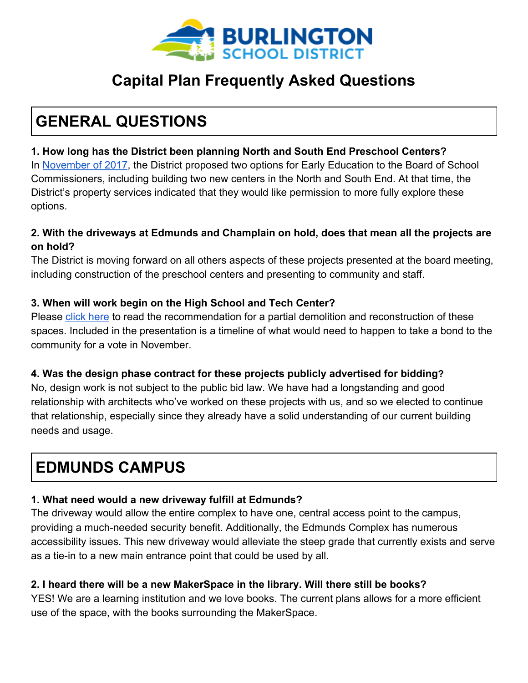

### **Capital Plan Frequently Asked Questions**

## **GENERAL QUESTIONS**

### **1. How long has the District been planning North and South End Preschool Centers?**

In [November of 2017](http://www.bsdvt.org/wp-content/uploads/2017/07/Board-Capital-Planning-Presentation.pdf), the District proposed two options for Early Education to the Board of School Commissioners, including building two new centers in the North and South End. At that time, the District's property services indicated that they would like permission to more fully explore these options.

### **2. With the driveways at Edmunds and Champlain on hold, does that mean all the projects are on hold?**

The District is moving forward on all others aspects of these projects presented at the board meeting, including construction of the preschool centers and presenting to community and staff.

### **3. When will work begin on the High School and Tech Center?**

Please [click here](http://www.bsdvt.org/district/budget/bhs-renovations/) to read the recommendation for a partial demolition and reconstruction of these spaces. Included in the presentation is a timeline of what would need to happen to take a bond to the community for a vote in November.

#### **4. Was the design phase contract for these projects publicly advertised for bidding?**

No, design work is not subject to the public bid law. We have had a longstanding and good relationship with architects who've worked on these projects with us, and so we elected to continue that relationship, especially since they already have a solid understanding of our current building needs and usage.

## **EDMUNDS CAMPUS**

### **1. What need would a new driveway fulfill at Edmunds?**

The driveway would allow the entire complex to have one, central access point to the campus, providing a much-needed security benefit. Additionally, the Edmunds Complex has numerous accessibility issues. This new driveway would alleviate the steep grade that currently exists and serve as a tie-in to a new main entrance point that could be used by all.

### **2. I heard there will be a new MakerSpace in the library. Will there still be books?**

YES! We are a learning institution and we love books. The current plans allows for a more efficient use of the space, with the books surrounding the MakerSpace.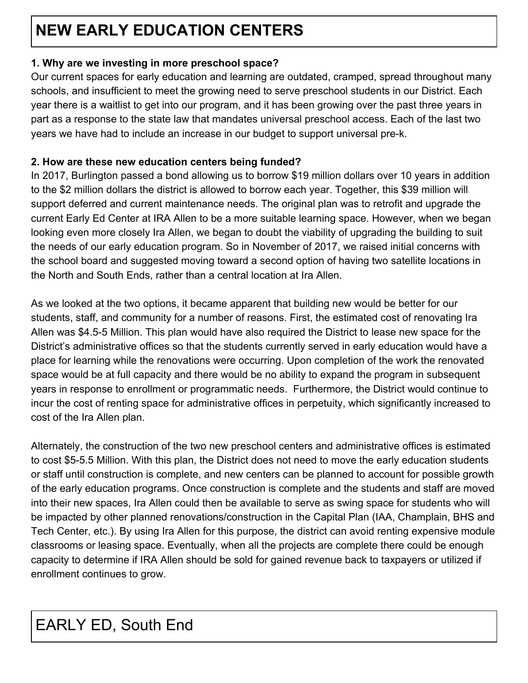# **NEW EARLY EDUCATION CENTERS**

### **1. Why are we investing in more preschool space?**

Our current spaces for early education and learning are outdated, cramped, spread throughout many schools, and insufficient to meet the growing need to serve preschool students in our District. Each year there is a waitlist to get into our program, and it has been growing over the past three years in part as a response to the state law that mandates universal preschool access. Each of the last two years we have had to include an increase in our budget to support universal pre-k.

### **2. How are these new education centers being funded?**

In 2017, Burlington passed a bond allowing us to borrow \$19 million dollars over 10 years in addition to the \$2 million dollars the district is allowed to borrow each year. Together, this \$39 million will support deferred and current maintenance needs. The original plan was to retrofit and upgrade the current Early Ed Center at IRA Allen to be a more suitable learning space. However, when we began looking even more closely Ira Allen, we began to doubt the viability of upgrading the building to suit the needs of our early education program. So in November of 2017, we raised initial concerns with the school board and suggested moving toward a second option of having two satellite locations in the North and South Ends, rather than a central location at Ira Allen.

As we looked at the two options, it became apparent that building new would be better for our students, staff, and community for a number of reasons. First, the estimated cost of renovating Ira Allen was \$4.5-5 Million. This plan would have also required the District to lease new space for the District's administrative offices so that the students currently served in early education would have a place for learning while the renovations were occurring. Upon completion of the work the renovated space would be at full capacity and there would be no ability to expand the program in subsequent years in response to enrollment or programmatic needs. Furthermore, the District would continue to incur the cost of renting space for administrative offices in perpetuity, which significantly increased to cost of the Ira Allen plan.

Alternately, the construction of the two new preschool centers and administrative offices is estimated to cost \$5-5.5 Million. With this plan, the District does not need to move the early education students or staff until construction is complete, and new centers can be planned to account for possible growth of the early education programs. Once construction is complete and the students and staff are moved into their new spaces, Ira Allen could then be available to serve as swing space for students who will be impacted by other planned renovations/construction in the Capital Plan (IAA, Champlain, BHS and Tech Center, etc.). By using Ira Allen for this purpose, the district can avoid renting expensive module classrooms or leasing space. Eventually, when all the projects are complete there could be enough capacity to determine if IRA Allen should be sold for gained revenue back to taxpayers or utilized if enrollment continues to grow.

## EARLY ED, South End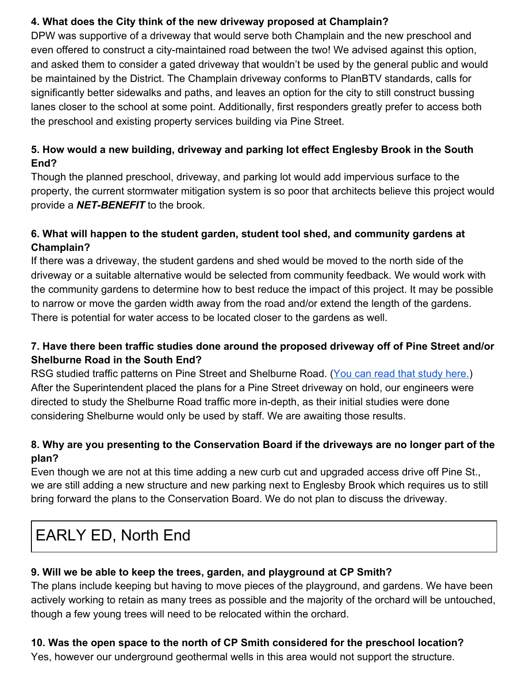### **4. What does the City think of the new driveway proposed at Champlain?**

DPW was supportive of a driveway that would serve both Champlain and the new preschool and even offered to construct a city-maintained road between the two! We advised against this option, and asked them to consider a gated driveway that wouldn't be used by the general public and would be maintained by the District. The Champlain driveway conforms to PlanBTV standards, calls for significantly better sidewalks and paths, and leaves an option for the city to still construct bussing lanes closer to the school at some point. Additionally, first responders greatly prefer to access both the preschool and existing property services building via Pine Street.

### **5. How would a new building, driveway and parking lot effect Englesby Brook in the South End?**

Though the planned preschool, driveway, and parking lot would add impervious surface to the property, the current stormwater mitigation system is so poor that architects believe this project would provide a *NET-BENEFIT* to the brook.

### **6. What will happen to the student garden, student tool shed, and community gardens at Champlain?**

If there was a driveway, the student gardens and shed would be moved to the north side of the driveway or a suitable alternative would be selected from community feedback. We would work with the community gardens to determine how to best reduce the impact of this project. It may be possible to narrow or move the garden width away from the road and/or extend the length of the gardens. There is potential for water access to be located closer to the gardens as well.

### **7. Have there been traffic studies done around the proposed driveway off of Pine Street and/or Shelburne Road in the South End?**

RSG studied traffic patterns on Pine Street and Shelburne Road. ([You can read that study here.](http://www.bsdvt.org/wp-content/uploads/2018/04/Traffic_Impact_Survey_BSD_Capital_Plan.pdf)) After the Superintendent placed the plans for a Pine Street driveway on hold, our engineers were directed to study the Shelburne Road traffic more in-depth, as their initial studies were done considering Shelburne would only be used by staff. We are awaiting those results.

### **8. Why are you presenting to the Conservation Board if the driveways are no longer part of the plan?**

Even though we are not at this time adding a new curb cut and upgraded access drive off Pine St., we are still adding a new structure and new parking next to Englesby Brook which requires us to still bring forward the plans to the Conservation Board. We do not plan to discuss the driveway.

## EARLY ED, North End

### **9. Will we be able to keep the trees, garden, and playground at CP Smith?**

The plans include keeping but having to move pieces of the playground, and gardens. We have been actively working to retain as many trees as possible and the majority of the orchard will be untouched, though a few young trees will need to be relocated within the orchard.

### **10. Was the open space to the north of CP Smith considered for the preschool location?**

Yes, however our underground geothermal wells in this area would not support the structure.